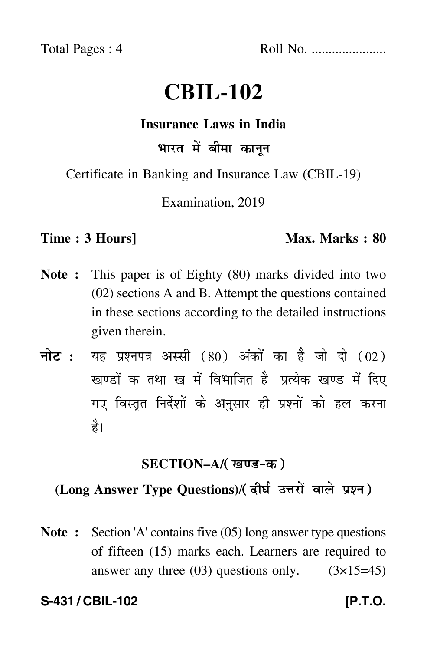Total Pages : 4 Roll No. ......................

# **CBIL-102**

#### **Insurance Laws in India**

## भारत में बीमा कानून

Certificate in Banking and Insurance Law (CBIL-19)

Examination, 2019

#### **Time : 3 Hours]** Max. Marks : 80

- **Note :** This paper is of Eighty (80) marks divided into two (02) sections A and B. Attempt the questions contained in these sections according to the detailed instructions given therein.
- नोट : यह प्रश्नपत्र अस्सी (80) अंकों का है जो दो (02) खण्डों क तथा ख में विभाजित है। प्रत्येक खण्ड में दिए गए विस्तृत निर्देशों के अनुसार ही प्रश्नों को हल करन<mark>ा</mark> है।

### <u>SECTION–A/( खण्ड-क</u> )

## (Long Answer Type Questions)/( दीर्घ उत्तरों वाले प्रश्न )

**Note :** Section 'A' contains five (05) long answer type questions of fifteen (15) marks each. Learners are required to answer any three  $(03)$  questions only.  $(3\times15=45)$ 

**S-431 / CBIL-102** *IP.T.O.*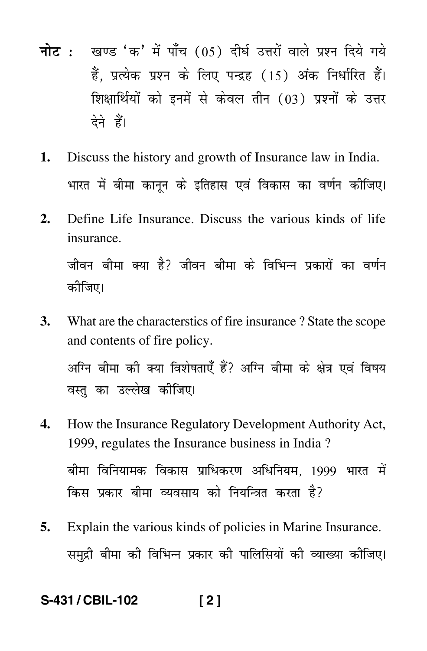- <mark>नोट</mark> : खण्ड 'क' में पाँच (05) दीर्घ उत्तरों वाले प्रश्न दिये गये हैं, प्रत्येक प्रश्न के लिए पन्द्रह (15) अंक निर्धारित हैं। शिक्षार्थियों को इनमें से केवल तीन (03) प्रश्नों के उत्तर देने हैं।
- **1.** Discuss the history and growth of Insurance law in India. भारत में बीमा कानून के इतिहास एवं विकास का वर्णन कीजिए। -
- **2.** Define Life Insurance. Discuss the various kinds of life insurance. जीवन बीमा क्या है? जीवन बीमा के विभिन्न प्रकारों का वर्णन कीजिए।
- **3.** What are the characterstics of fire insurance ? State the scope and contents of fire policy. अग्नि बीमा की क्या विशेषताएँ हैं? अग्नि बीमा के क्षेत्र एवं विषय वस्तु का उल्लेख कीजिए।
- **4.** How the Insurance Regulatory Development Authority Act, 1999, regulates the Insurance business in India ? बीमा विनियामक विकास प्राधिकरण अधिनियम, 1999 भारत मे<mark>ं</mark> -किस प्रकार बीमा व्यवसाय को नियन्त्रित करता है?
- **5.** Explain the various kinds of policies in Marine Insurance. समुद्री बीमा की विभिन्न प्रकार की पालिसियों की व्याख्या कीजिए।

#### **S-431 / CBIL-102 [ 2 ]**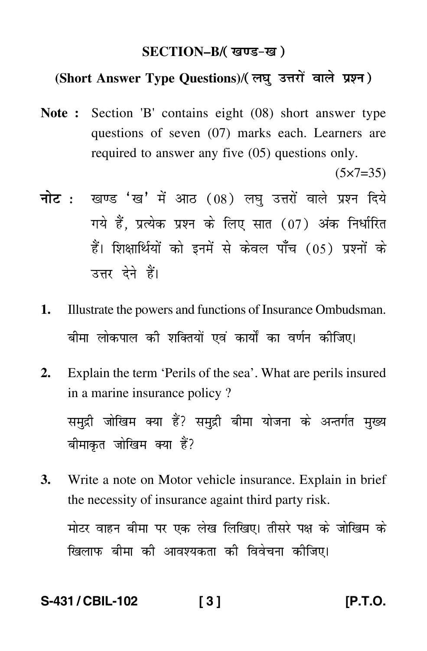#### SECTION–B/( खण्ड-ख )

#### (Short Answer Type Questions)/(लघु उत्तरों वाले प्रश्न)

**Note :** Section 'B' contains eight (08) short answer type questions of seven (07) marks each. Learners are required to answer any five (05) questions only.

 $(5 \times 7 = 35)$ 

- <mark>नोट</mark> : खण्ड 'ख' में आठ (08) लघु उत्तरों वाले प्रश्न दिये गये हैं, प्रत्येक प्रश्न के लिए सात (07) अंक निर्धारित हैं। शिक्षार्थियों को इनमें से केवल पाँच (05) प्रश्नों के उत्तर देने हैं।
- **1.** Illustrate the powers and functions of Insurance Ombudsman. बीमा लोकपाल की शक्तियों एवं कार्यों का वर्णन कीजिए।
- **2.** Explain the term 'Perils of the sea'. What are perils insured in a marine insurance policy ? समुद्री जोखिम क्या हैं? समुद्री बीमा योजना के अन्तर्गत मुख्य बीमाकृत जोखिम क्या हैं?
- **3.** Write a note on Motor vehicle insurance. Explain in brief the necessity of insurance againt third party risk. मोटर वाहन बीमा पर एक लेख लिखिए। तीसरे पक्ष के जोखिम के खिलाफ बीमा को आवश्यकता को विवेचना कोजिए।

**S-431 / CBIL-102 [ 3 ] [P.T.O.**